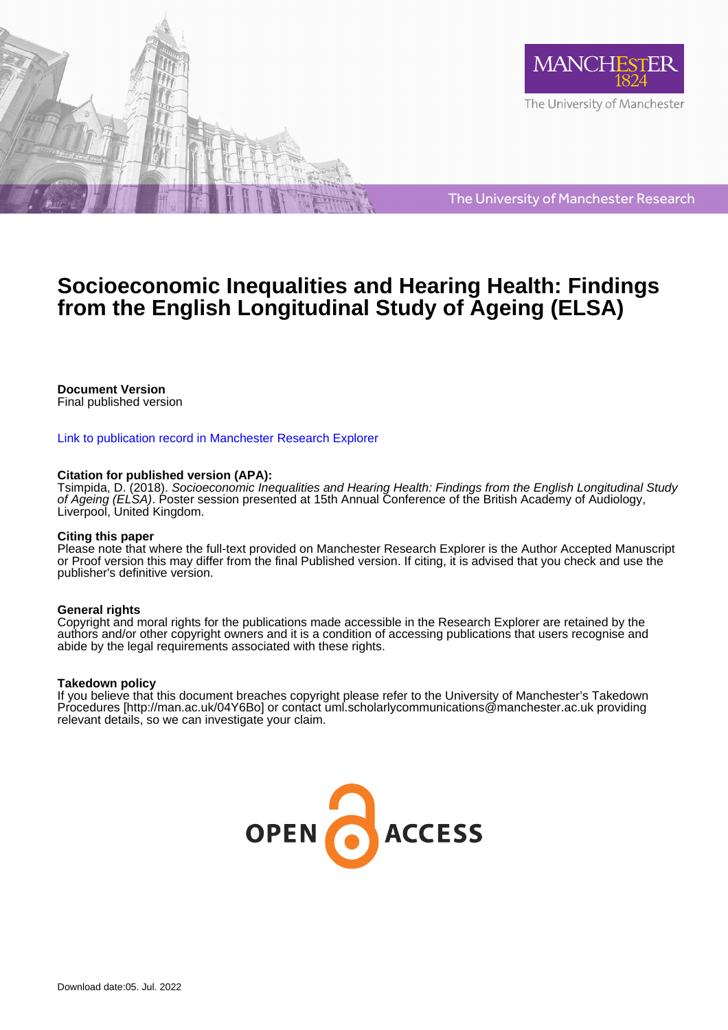

The University of Manchester Research

## **Socioeconomic Inequalities and Hearing Health: Findings from the English Longitudinal Study of Ageing (ELSA)**

## **Document Version**

Final published version

#### [Link to publication record in Manchester Research Explorer](https://www.research.manchester.ac.uk/portal/en/publications/socioeconomic-inequalities-and-hearing-health-findings-from-the-english-longitudinal-study-of-ageing-elsa(7659e219-e6df-4f85-816d-b193b6b42eee).html)

### **Citation for published version (APA):**

[Tsimpida, D.](/portal/dialechti.tsimpida.html) (2018). [Socioeconomic Inequalities and Hearing Health: Findings from the English Longitudinal Study](https://www.research.manchester.ac.uk/portal/en/publications/socioeconomic-inequalities-and-hearing-health-findings-from-the-english-longitudinal-study-of-ageing-elsa(7659e219-e6df-4f85-816d-b193b6b42eee).html) [of Ageing \(ELSA\)](https://www.research.manchester.ac.uk/portal/en/publications/socioeconomic-inequalities-and-hearing-health-findings-from-the-english-longitudinal-study-of-ageing-elsa(7659e219-e6df-4f85-816d-b193b6b42eee).html). Poster session presented at 15th Annual Conference of the British Academy of Audiology, Liverpool, United Kingdom.

#### **Citing this paper**

Please note that where the full-text provided on Manchester Research Explorer is the Author Accepted Manuscript or Proof version this may differ from the final Published version. If citing, it is advised that you check and use the publisher's definitive version.

#### **General rights**

Copyright and moral rights for the publications made accessible in the Research Explorer are retained by the authors and/or other copyright owners and it is a condition of accessing publications that users recognise and abide by the legal requirements associated with these rights.

#### **Takedown policy**

If you believe that this document breaches copyright please refer to the University of Manchester's Takedown Procedures [http://man.ac.uk/04Y6Bo] or contact uml.scholarlycommunications@manchester.ac.uk providing relevant details, so we can investigate your claim.